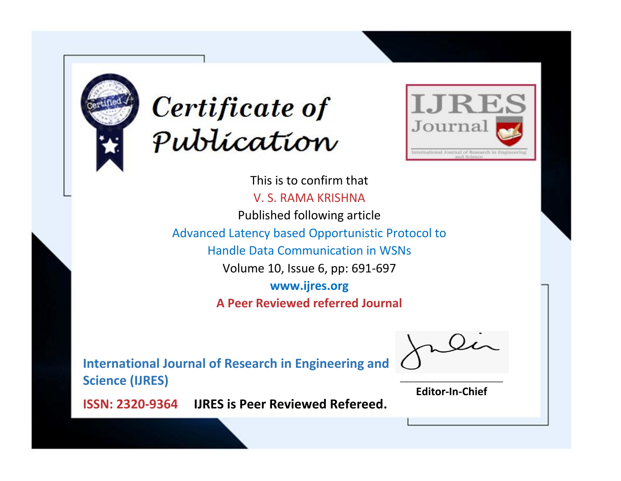



This is to confirm that V. S. RAMA KRISHNA Published following article Advanced Latency based Opportunistic Protocol to Handle Data Communication in WSNs Volume 10, Issue 6, pp: 691-697 **www.ijres.org A Peer Reviewed referred Journal**

**International Journal of Research in Engineering and Science (IJRES)**

\_\_\_\_\_\_\_\_\_\_\_\_\_\_\_\_\_\_\_\_\_\_\_\_ **Editor-In-Chief**

**Journal.**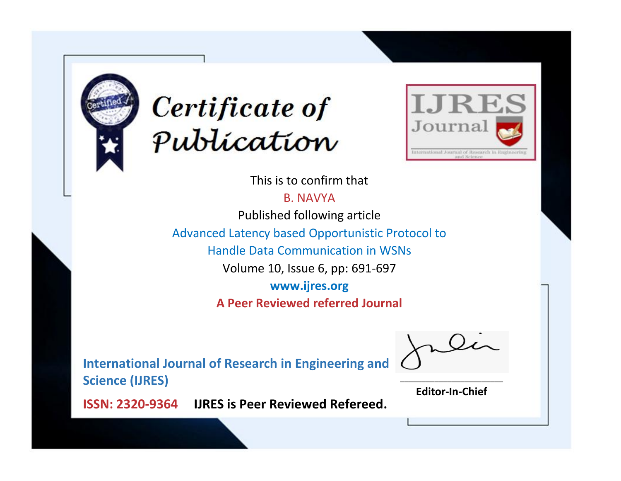



This is to confirm that

B. NAVYA

Published following article

Advanced Latency based Opportunistic Protocol to

Handle Data Communication in WSNs

Volume 10, Issue 6, pp: 691-697

**www.ijres.org**

**A Peer Reviewed referred Journal**

**International Journal of Research in Engineering and Science (IJRES)**

\_\_\_\_\_\_\_\_\_\_\_\_\_\_\_\_\_\_\_\_\_\_\_\_ **Editor-In-Chief**

**Journal.**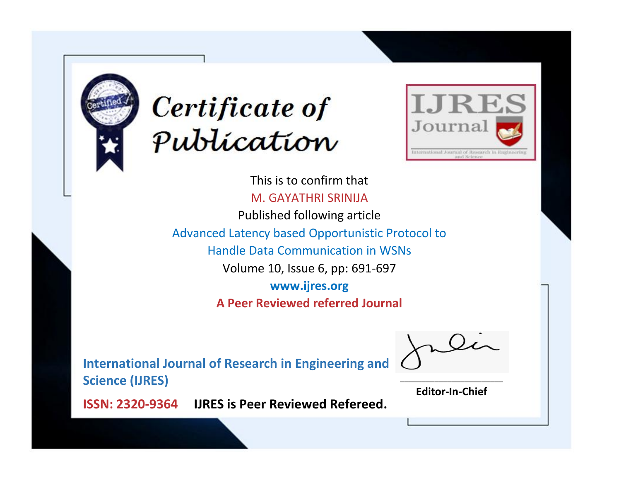



This is to confirm that M. GAYATHRI SRINIJA Published following article Advanced Latency based Opportunistic Protocol to Handle Data Communication in WSNs Volume 10, Issue 6, pp: 691-697 **www.ijres.org A Peer Reviewed referred Journal**

**International Journal of Research in Engineering and Science (IJRES)**

\_\_\_\_\_\_\_\_\_\_\_\_\_\_\_\_\_\_\_\_\_\_\_\_ **Editor-In-Chief**

**Journal.**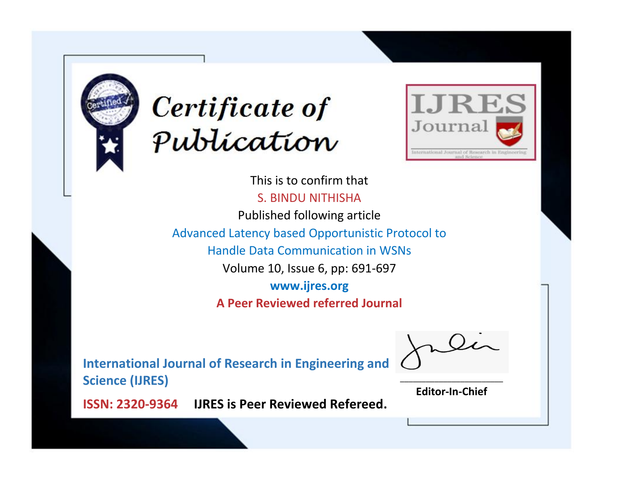



This is to confirm that S. BINDU NITHISHA Published following article Advanced Latency based Opportunistic Protocol to Handle Data Communication in WSNs Volume 10, Issue 6, pp: 691-697 **www.ijres.org A Peer Reviewed referred Journal**

**International Journal of Research in Engineering and Science (IJRES)**

\_\_\_\_\_\_\_\_\_\_\_\_\_\_\_\_\_\_\_\_\_\_\_\_ **Editor-In-Chief**

**Journal.**